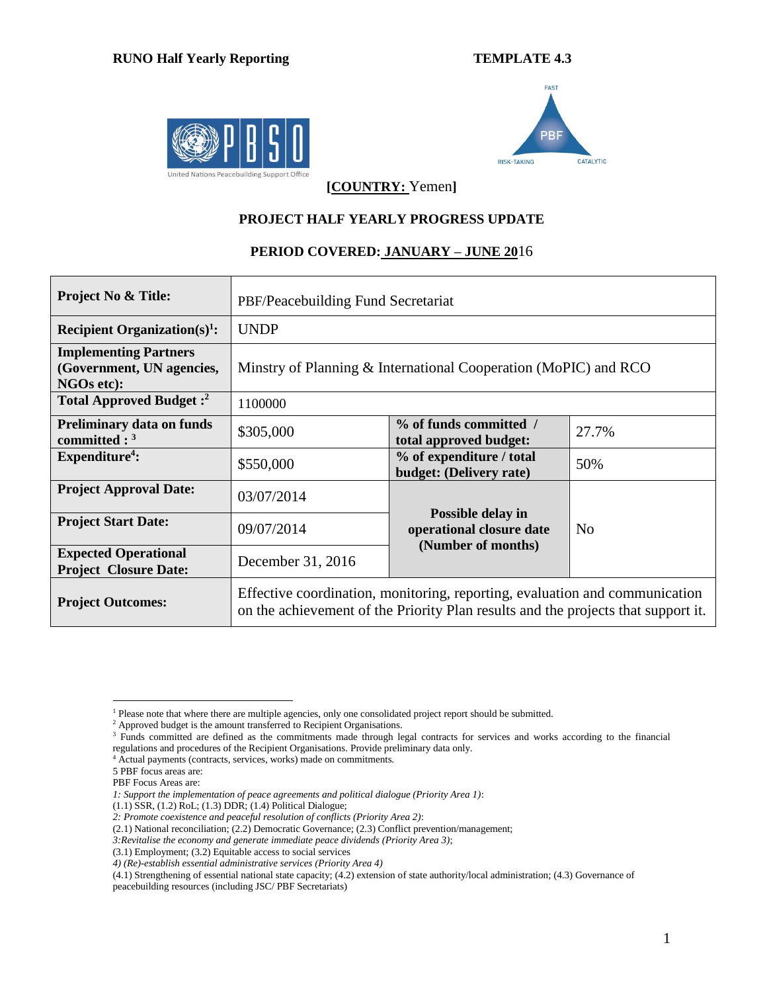## **RUNO Half Yearly Reporting TEMPLATE 4.3**





**[COUNTRY:** Yemen**]**

## **PROJECT HALF YEARLY PROGRESS UPDATE**

## **PERIOD COVERED: JANUARY – JUNE 20**16

| <b>Project No &amp; Title:</b>                                          | PBF/Peacebuilding Fund Secretariat                                                                                                                               |                                                                 |     |  |  |  |  |
|-------------------------------------------------------------------------|------------------------------------------------------------------------------------------------------------------------------------------------------------------|-----------------------------------------------------------------|-----|--|--|--|--|
| Recipient Organization(s) <sup>1</sup> :                                | <b>UNDP</b>                                                                                                                                                      |                                                                 |     |  |  |  |  |
| <b>Implementing Partners</b><br>(Government, UN agencies,<br>NGOs etc): | Minstry of Planning & International Cooperation (MoPIC) and RCO                                                                                                  |                                                                 |     |  |  |  |  |
| Total Approved Budget: <sup>2</sup>                                     | 1100000                                                                                                                                                          |                                                                 |     |  |  |  |  |
| <b>Preliminary data on funds</b><br>committed : $3$                     | \$305,000                                                                                                                                                        | % of funds committed /<br>27.7%<br>total approved budget:       |     |  |  |  |  |
| Expenditure <sup>4</sup> :                                              | \$550,000                                                                                                                                                        | % of expenditure / total<br>budget: (Delivery rate)             | 50% |  |  |  |  |
| <b>Project Approval Date:</b>                                           | 03/07/2014                                                                                                                                                       |                                                                 |     |  |  |  |  |
| <b>Project Start Date:</b>                                              | 09/07/2014                                                                                                                                                       | Possible delay in<br>N <sub>0</sub><br>operational closure date |     |  |  |  |  |
| <b>Expected Operational</b><br><b>Project Closure Date:</b>             | December 31, 2016                                                                                                                                                | (Number of months)                                              |     |  |  |  |  |
| <b>Project Outcomes:</b>                                                | Effective coordination, monitoring, reporting, evaluation and communication<br>on the achievement of the Priority Plan results and the projects that support it. |                                                                 |     |  |  |  |  |

- <sup>4</sup> Actual payments (contracts, services, works) made on commitments.
- 5 PBF focus areas are:
- PBF Focus Areas are:

 $\overline{a}$ <sup>1</sup> Please note that where there are multiple agencies, only one consolidated project report should be submitted.

<sup>&</sup>lt;sup>2</sup> Approved budget is the amount transferred to Recipient Organisations.

<sup>&</sup>lt;sup>3</sup> Funds committed are defined as the commitments made through legal contracts for services and works according to the financial regulations and procedures of the Recipient Organisations. Provide preliminary data only.

*<sup>1:</sup> Support the implementation of peace agreements and political dialogue (Priority Area 1)*:

 $(1.1)$  SSR,  $(1.2)$  RoL;  $(1.3)$  DDR;  $(1.4)$  Political Dialogue;

*<sup>2:</sup> Promote coexistence and peaceful resolution of conflicts (Priority Area 2)*:

<sup>(2.1)</sup> National reconciliation; (2.2) Democratic Governance; (2.3) Conflict prevention/management;

*<sup>3:</sup>Revitalise the economy and generate immediate peace dividends (Priority Area 3)*;

<sup>(3.1)</sup> Employment; (3.2) Equitable access to social services

*<sup>4)</sup> (Re)-establish essential administrative services (Priority Area 4)*

<sup>(4.1)</sup> Strengthening of essential national state capacity; (4.2) extension of state authority/local administration; (4.3) Governance of peacebuilding resources (including JSC/ PBF Secretariats)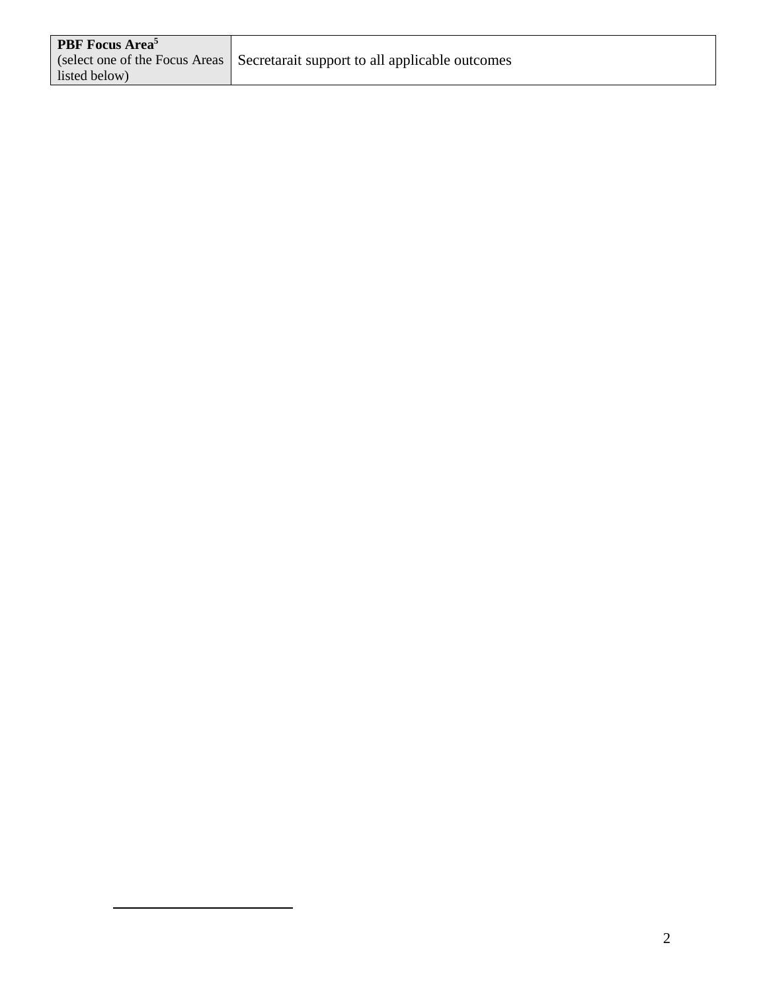| <b>PBF</b> Focus Area <sup>5</sup> |                                                                                 |
|------------------------------------|---------------------------------------------------------------------------------|
|                                    | (select one of the Focus Areas   Secretarait support to all applicable outcomes |
| listed below)                      |                                                                                 |

 $\overline{a}$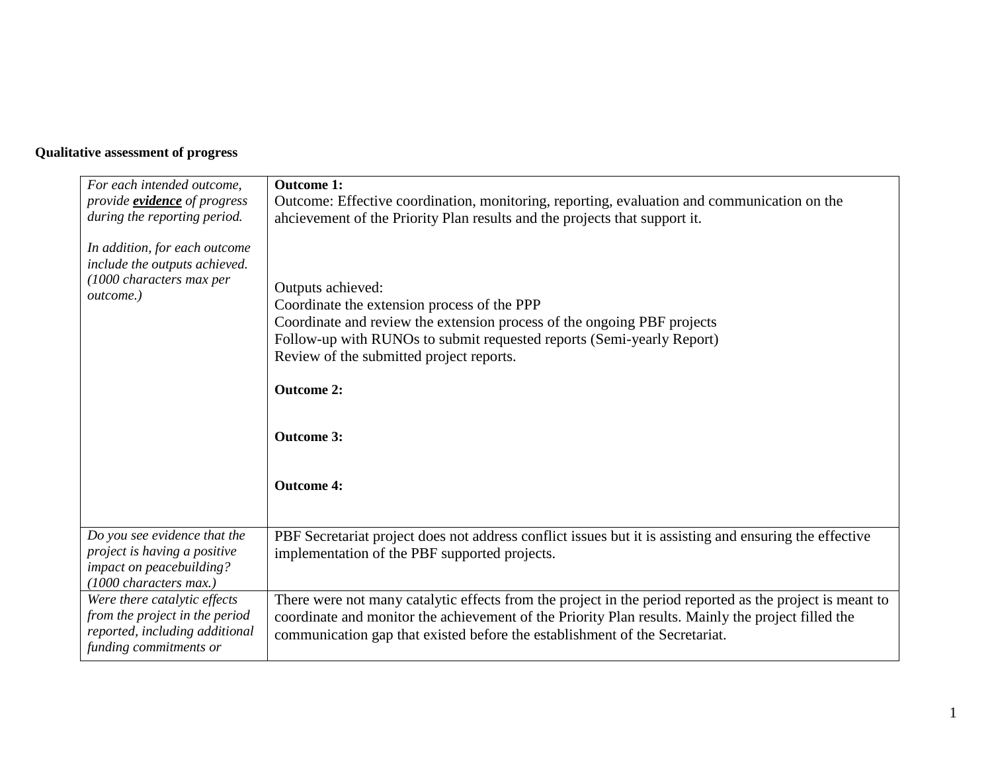## **Qualitative assessment of progress**

| For each intended outcome,<br>provide <b>evidence</b> of progress<br>during the reporting period.<br>In addition, for each outcome<br>include the outputs achieved.<br>(1000 characters max per<br>outcome.) | <b>Outcome 1:</b><br>Outcome: Effective coordination, monitoring, reporting, evaluation and communication on the<br>ahcievement of the Priority Plan results and the projects that support it.<br>Outputs achieved:<br>Coordinate the extension process of the PPP<br>Coordinate and review the extension process of the ongoing PBF projects<br>Follow-up with RUNOs to submit requested reports (Semi-yearly Report)<br>Review of the submitted project reports.<br><b>Outcome 2:</b><br><b>Outcome 3:</b><br><b>Outcome 4:</b> |
|--------------------------------------------------------------------------------------------------------------------------------------------------------------------------------------------------------------|-----------------------------------------------------------------------------------------------------------------------------------------------------------------------------------------------------------------------------------------------------------------------------------------------------------------------------------------------------------------------------------------------------------------------------------------------------------------------------------------------------------------------------------|
| Do you see evidence that the<br>project is having a positive<br>impact on peacebuilding?<br>(1000 characters max.)                                                                                           | PBF Secretariat project does not address conflict issues but it is assisting and ensuring the effective<br>implementation of the PBF supported projects.                                                                                                                                                                                                                                                                                                                                                                          |
| Were there catalytic effects<br>from the project in the period<br>reported, including additional<br>funding commitments or                                                                                   | There were not many catalytic effects from the project in the period reported as the project is meant to<br>coordinate and monitor the achievement of the Priority Plan results. Mainly the project filled the<br>communication gap that existed before the establishment of the Secretariat.                                                                                                                                                                                                                                     |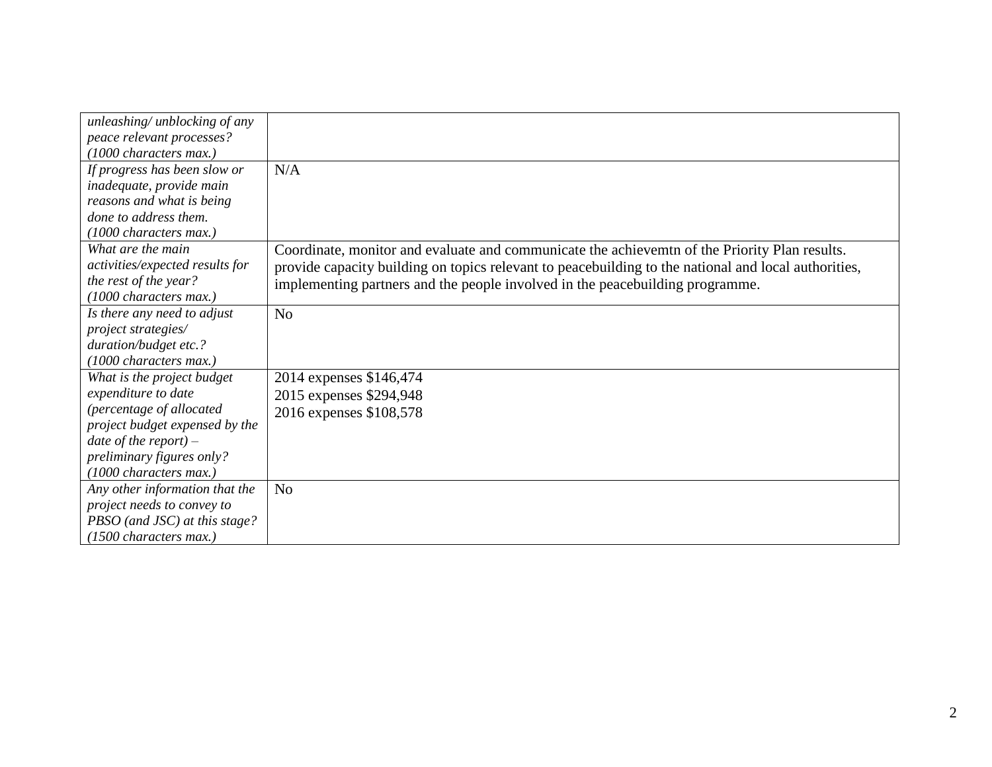| unleashing/ unblocking of any   |                                                                                                      |
|---------------------------------|------------------------------------------------------------------------------------------------------|
| peace relevant processes?       |                                                                                                      |
| (1000 characters max.)          |                                                                                                      |
| If progress has been slow or    | N/A                                                                                                  |
| inadequate, provide main        |                                                                                                      |
| reasons and what is being       |                                                                                                      |
| done to address them.           |                                                                                                      |
| (1000 characters max.)          |                                                                                                      |
| What are the main               | Coordinate, monitor and evaluate and communicate the achievemtn of the Priority Plan results.        |
| activities/expected results for | provide capacity building on topics relevant to peacebuilding to the national and local authorities, |
| the rest of the year?           | implementing partners and the people involved in the peacebuilding programme.                        |
| (1000 characters max.)          |                                                                                                      |
| Is there any need to adjust     | N <sub>o</sub>                                                                                       |
| project strategies/             |                                                                                                      |
| duration/budget etc.?           |                                                                                                      |
| (1000 characters max.)          |                                                                                                      |
| What is the project budget      | 2014 expenses \$146,474                                                                              |
| expenditure to date             | 2015 expenses \$294,948                                                                              |
| (percentage of allocated        | 2016 expenses \$108,578                                                                              |
| project budget expensed by the  |                                                                                                      |
| date of the report) $-$         |                                                                                                      |
| preliminary figures only?       |                                                                                                      |
| (1000 characters max.)          |                                                                                                      |
| Any other information that the  | N <sub>o</sub>                                                                                       |
| project needs to convey to      |                                                                                                      |
| PBSO (and JSC) at this stage?   |                                                                                                      |
| $(1500$ characters max.)        |                                                                                                      |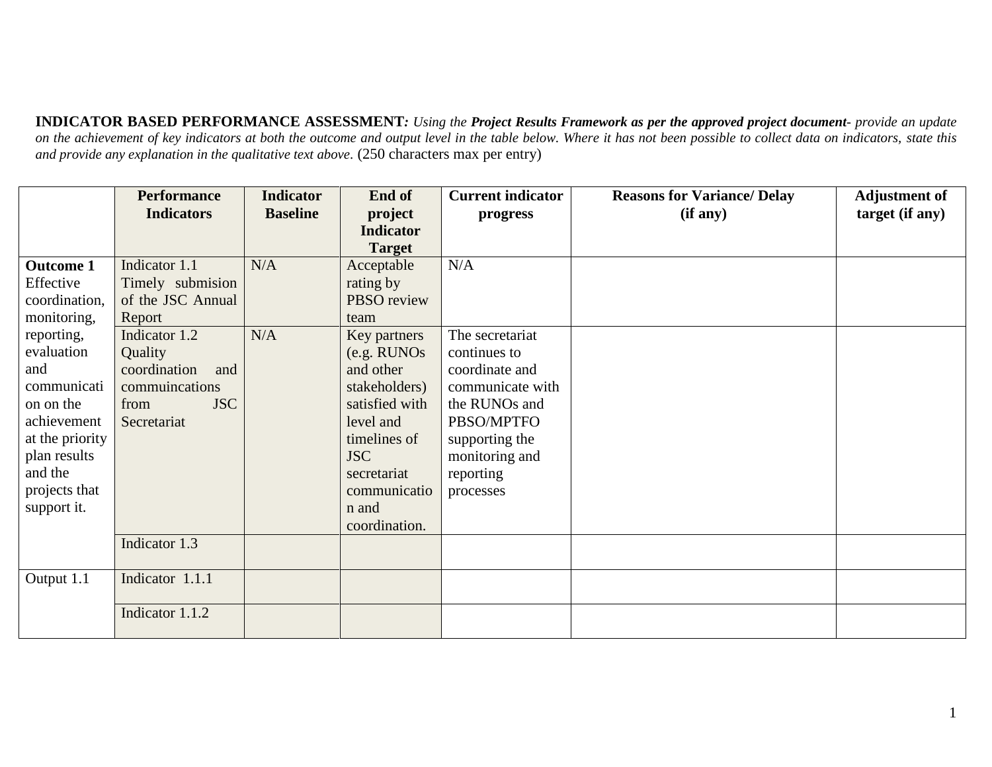**INDICATOR BASED PERFORMANCE ASSESSMENT***: Using the Project Results Framework as per the approved project document- provide an update*  on the achievement of key indicators at both the outcome and output level in the table below. Where it has not been possible to collect data on indicators, state this *and provide any explanation in the qualitative text above.* (250 characters max per entry)

|                  | <b>Performance</b>  | <b>Indicator</b> | End of           | <b>Current indicator</b> | <b>Reasons for Variance/ Delay</b> | <b>Adjustment of</b> |
|------------------|---------------------|------------------|------------------|--------------------------|------------------------------------|----------------------|
|                  | <b>Indicators</b>   | <b>Baseline</b>  | project          | progress                 | (if any)                           | target (if any)      |
|                  |                     |                  | <b>Indicator</b> |                          |                                    |                      |
|                  |                     |                  | <b>Target</b>    |                          |                                    |                      |
| <b>Outcome 1</b> | Indicator 1.1       | N/A              | Acceptable       | N/A                      |                                    |                      |
| Effective        | Timely submision    |                  | rating by        |                          |                                    |                      |
| coordination,    | of the JSC Annual   |                  | PBSO review      |                          |                                    |                      |
| monitoring,      | Report              |                  | team             |                          |                                    |                      |
| reporting,       | Indicator 1.2       | N/A              | Key partners     | The secretariat          |                                    |                      |
| evaluation       | Quality             |                  | (e.g. RUNOs      | continues to             |                                    |                      |
| and              | coordination<br>and |                  | and other        | coordinate and           |                                    |                      |
| communicati      | communications      |                  | stakeholders)    | communicate with         |                                    |                      |
| on on the        | <b>JSC</b><br>from  |                  | satisfied with   | the RUNOs and            |                                    |                      |
| achievement      | Secretariat         |                  | level and        | PBSO/MPTFO               |                                    |                      |
| at the priority  |                     |                  | timelines of     | supporting the           |                                    |                      |
| plan results     |                     |                  | <b>JSC</b>       | monitoring and           |                                    |                      |
| and the          |                     |                  | secretariat      | reporting                |                                    |                      |
| projects that    |                     |                  | communicatio     | processes                |                                    |                      |
| support it.      |                     |                  | n and            |                          |                                    |                      |
|                  |                     |                  | coordination.    |                          |                                    |                      |
|                  | Indicator 1.3       |                  |                  |                          |                                    |                      |
|                  |                     |                  |                  |                          |                                    |                      |
| Output 1.1       | Indicator 1.1.1     |                  |                  |                          |                                    |                      |
|                  | Indicator 1.1.2     |                  |                  |                          |                                    |                      |
|                  |                     |                  |                  |                          |                                    |                      |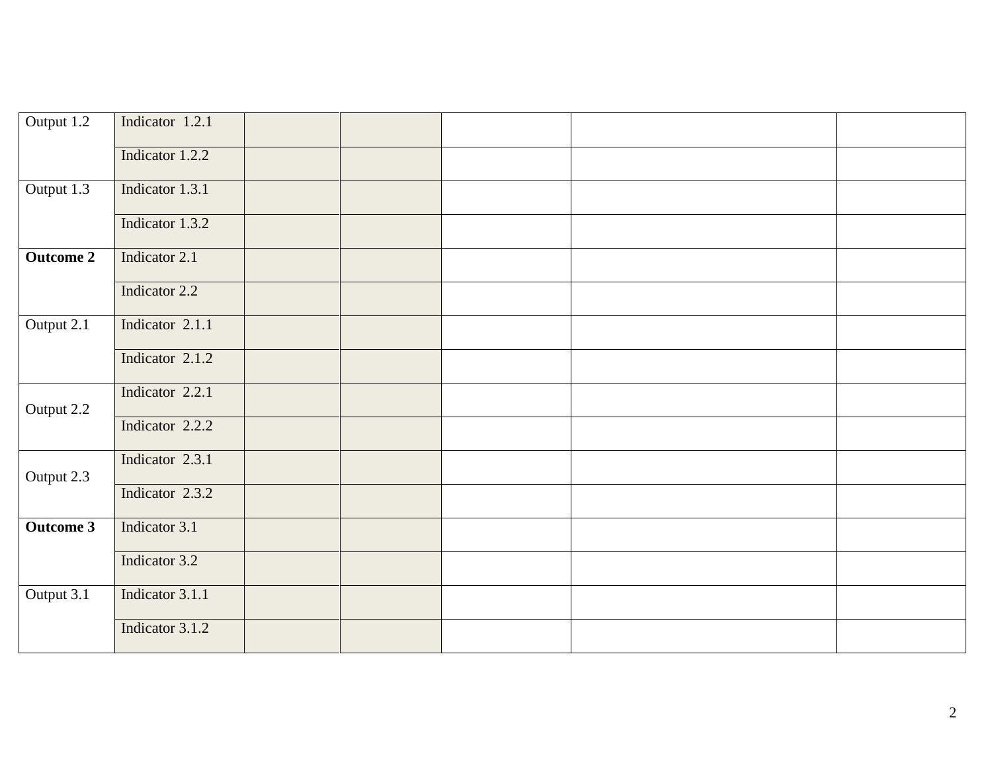| Output 1.2       | Indicator 1.2.1 |  |  |  |
|------------------|-----------------|--|--|--|
|                  | Indicator 1.2.2 |  |  |  |
| Output 1.3       | Indicator 1.3.1 |  |  |  |
|                  | Indicator 1.3.2 |  |  |  |
| <b>Outcome 2</b> | Indicator 2.1   |  |  |  |
|                  | Indicator 2.2   |  |  |  |
| Output 2.1       | Indicator 2.1.1 |  |  |  |
|                  | Indicator 2.1.2 |  |  |  |
| Output 2.2       | Indicator 2.2.1 |  |  |  |
|                  | Indicator 2.2.2 |  |  |  |
| Output 2.3       | Indicator 2.3.1 |  |  |  |
|                  | Indicator 2.3.2 |  |  |  |
| <b>Outcome 3</b> | Indicator 3.1   |  |  |  |
|                  | Indicator 3.2   |  |  |  |
| Output 3.1       | Indicator 3.1.1 |  |  |  |
|                  | Indicator 3.1.2 |  |  |  |